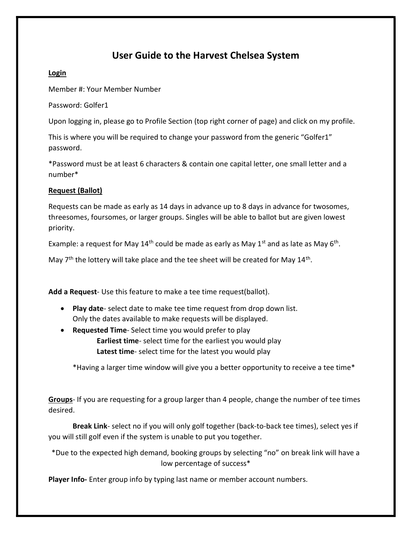## User Guide to the Harvest Chelsea System

#### Login

Member #: Your Member Number

Password: Golfer1

Upon logging in, please go to Profile Section (top right corner of page) and click on my profile.

This is where you will be required to change your password from the generic "Golfer1" password.

\*Password must be at least 6 characters & contain one capital letter, one small letter and a number\*

### Request (Ballot)

Requests can be made as early as 14 days in advance up to 8 days in advance for twosomes, threesomes, foursomes, or larger groups. Singles will be able to ballot but are given lowest priority.

Example: a request for May 14<sup>th</sup> could be made as early as May 1<sup>st</sup> and as late as May 6<sup>th</sup>.

May  $7<sup>th</sup>$  the lottery will take place and the tee sheet will be created for May  $14<sup>th</sup>$ .

Add a Request- Use this feature to make a tee time request(ballot).

- Play date- select date to make tee time request from drop down list. Only the dates available to make requests will be displayed.
- Requested Time- Select time you would prefer to play Earliest time- select time for the earliest you would play Latest time- select time for the latest you would play

\*Having a larger time window will give you a better opportunity to receive a tee time\*

Groups- If you are requesting for a group larger than 4 people, change the number of tee times desired.

Break Link- select no if you will only golf together (back-to-back tee times), select yes if you will still golf even if the system is unable to put you together.

\*Due to the expected high demand, booking groups by selecting "no" on break link will have a low percentage of success\*

Player Info- Enter group info by typing last name or member account numbers.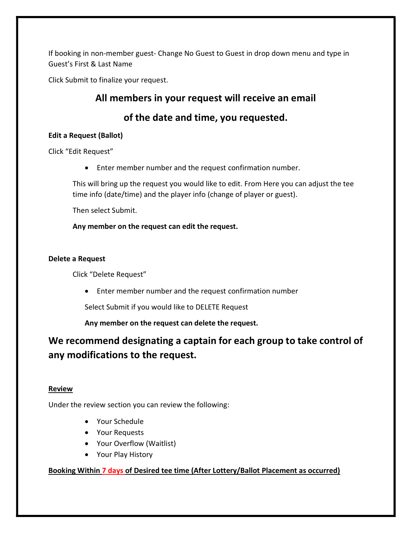If booking in non-member guest- Change No Guest to Guest in drop down menu and type in Guest's First & Last Name

Click Submit to finalize your request.

## All members in your request will receive an email

### of the date and time, you requested.

### Edit a Request (Ballot)

Click "Edit Request"

Enter member number and the request confirmation number.

This will bring up the request you would like to edit. From Here you can adjust the tee time info (date/time) and the player info (change of player or guest).

Then select Submit.

Any member on the request can edit the request.

### Delete a Request

Click "Delete Request"

Enter member number and the request confirmation number

Select Submit if you would like to DELETE Request

Any member on the request can delete the request.

# We recommend designating a captain for each group to take control of any modifications to the request.

### Review

Under the review section you can review the following:

- Your Schedule
- Your Requests
- Your Overflow (Waitlist)
- Your Play History

### Booking Within 7 days of Desired tee time (After Lottery/Ballot Placement as occurred)